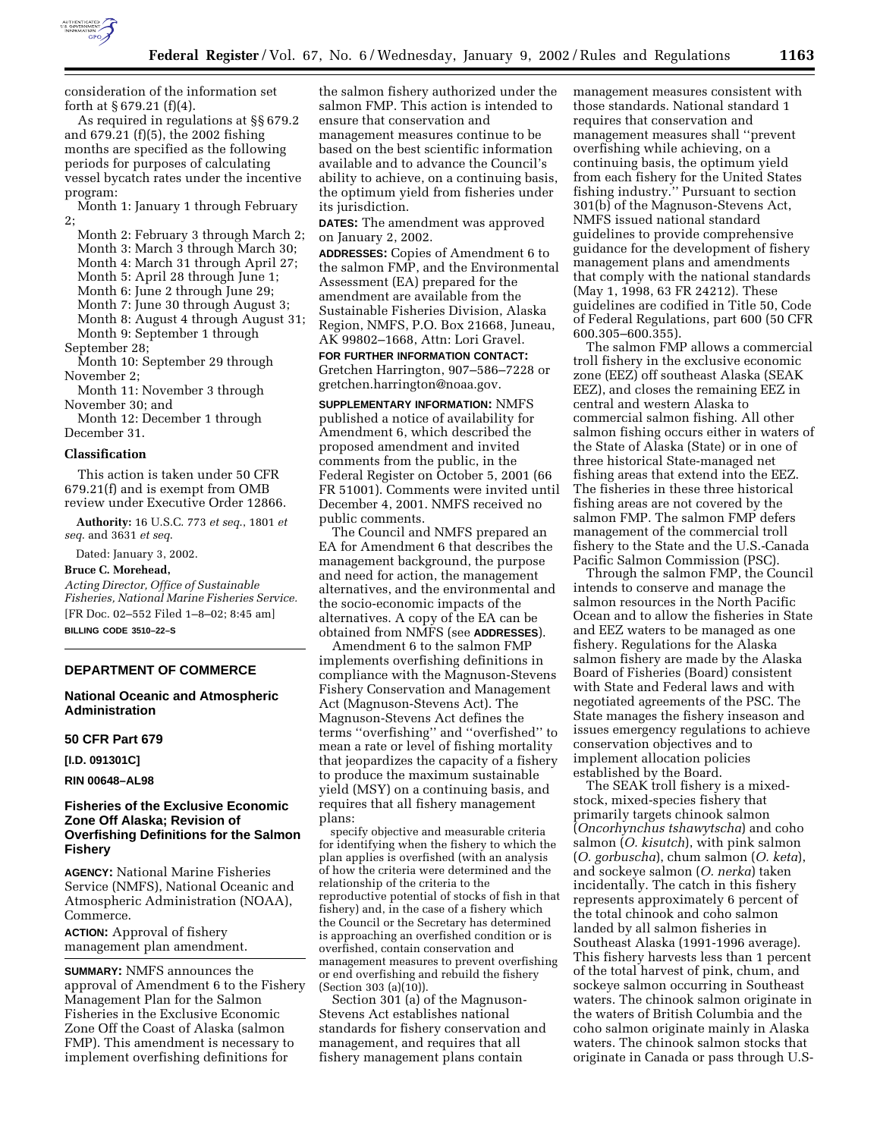

As required in regulations at §§ 679.2 and 679.21 (f)(5), the 2002 fishing months are specified as the following periods for purposes of calculating vessel bycatch rates under the incentive program:

Month 1: January 1 through February 2;

Month 2: February 3 through March 2; Month 3: March 3 through March 30; Month 4: March 31 through April 27; Month 5: April 28 through June 1; Month 6: June 2 through June 29;

Month 7: June 30 through August 3; Month 8: August 4 through August 31;

Month 9: September 1 through

September 28;

Month 10: September 29 through November 2;

Month 11: November 3 through November 30; and

Month 12: December 1 through December 31.

### **Classification**

This action is taken under 50 CFR 679.21(f) and is exempt from OMB review under Executive Order 12866.

**Authority:** 16 U.S.C. 773 *et seq*., 1801 *et seq*. and 3631 *et seq*.

Dated: January 3, 2002.

### **Bruce C. Morehead,**

*Acting Director, Office of Sustainable Fisheries, National Marine Fisheries Service.* [FR Doc. 02–552 Filed 1–8–02; 8:45 am] **BILLING CODE 3510–22–S**

# **DEPARTMENT OF COMMERCE**

**National Oceanic and Atmospheric Administration**

#### **50 CFR Part 679**

**[I.D. 091301C]**

**RIN 00648–AL98**

# **Fisheries of the Exclusive Economic Zone Off Alaska; Revision of Overfishing Definitions for the Salmon Fishery**

**AGENCY:** National Marine Fisheries Service (NMFS), National Oceanic and Atmospheric Administration (NOAA), Commerce.

**ACTION:** Approval of fishery management plan amendment.

**SUMMARY:** NMFS announces the approval of Amendment 6 to the Fishery Management Plan for the Salmon Fisheries in the Exclusive Economic Zone Off the Coast of Alaska (salmon FMP). This amendment is necessary to implement overfishing definitions for

the salmon fishery authorized under the salmon FMP. This action is intended to ensure that conservation and management measures continue to be based on the best scientific information available and to advance the Council's ability to achieve, on a continuing basis, the optimum yield from fisheries under its jurisdiction.

**DATES:** The amendment was approved on January 2, 2002.

**ADDRESSES:** Copies of Amendment 6 to the salmon FMP, and the Environmental Assessment (EA) prepared for the amendment are available from the Sustainable Fisheries Division, Alaska Region, NMFS, P.O. Box 21668, Juneau, AK 99802–1668, Attn: Lori Gravel.

**FOR FURTHER INFORMATION CONTACT:** Gretchen Harrington, 907–586–7228 or gretchen.harrington@noaa.gov.

**SUPPLEMENTARY INFORMATION:** NMFS published a notice of availability for Amendment 6, which described the proposed amendment and invited comments from the public, in the Federal Register on October 5, 2001 (66 FR 51001). Comments were invited until December 4, 2001. NMFS received no public comments.

The Council and NMFS prepared an EA for Amendment 6 that describes the management background, the purpose and need for action, the management alternatives, and the environmental and the socio-economic impacts of the alternatives. A copy of the EA can be obtained from NMFS (see **ADDRESSES**).

Amendment 6 to the salmon FMP implements overfishing definitions in compliance with the Magnuson-Stevens Fishery Conservation and Management Act (Magnuson-Stevens Act). The Magnuson-Stevens Act defines the terms ''overfishing'' and ''overfished'' to mean a rate or level of fishing mortality that jeopardizes the capacity of a fishery to produce the maximum sustainable yield (MSY) on a continuing basis, and requires that all fishery management plans:

specify objective and measurable criteria for identifying when the fishery to which the plan applies is overfished (with an analysis of how the criteria were determined and the relationship of the criteria to the reproductive potential of stocks of fish in that fishery) and, in the case of a fishery which the Council or the Secretary has determined is approaching an overfished condition or is overfished, contain conservation and management measures to prevent overfishing or end overfishing and rebuild the fishery (Section 303 (a)(10)).

Section 301 (a) of the Magnuson-Stevens Act establishes national standards for fishery conservation and management, and requires that all fishery management plans contain

management measures consistent with those standards. National standard 1 requires that conservation and management measures shall ''prevent overfishing while achieving, on a continuing basis, the optimum yield from each fishery for the United States fishing industry.'' Pursuant to section 301(b) of the Magnuson-Stevens Act, NMFS issued national standard guidelines to provide comprehensive guidance for the development of fishery management plans and amendments that comply with the national standards (May 1, 1998, 63 FR 24212). These guidelines are codified in Title 50, Code of Federal Regulations, part 600 (50 CFR 600.305–600.355).

The salmon FMP allows a commercial troll fishery in the exclusive economic zone (EEZ) off southeast Alaska (SEAK EEZ), and closes the remaining EEZ in central and western Alaska to commercial salmon fishing. All other salmon fishing occurs either in waters of the State of Alaska (State) or in one of three historical State-managed net fishing areas that extend into the EEZ. The fisheries in these three historical fishing areas are not covered by the salmon FMP. The salmon FMP defers management of the commercial troll fishery to the State and the U.S.-Canada Pacific Salmon Commission (PSC).

Through the salmon FMP, the Council intends to conserve and manage the salmon resources in the North Pacific Ocean and to allow the fisheries in State and EEZ waters to be managed as one fishery. Regulations for the Alaska salmon fishery are made by the Alaska Board of Fisheries (Board) consistent with State and Federal laws and with negotiated agreements of the PSC. The State manages the fishery inseason and issues emergency regulations to achieve conservation objectives and to implement allocation policies established by the Board.

The SEAK troll fishery is a mixedstock, mixed-species fishery that primarily targets chinook salmon (*Oncorhynchus tshawytscha*) and coho salmon (*O. kisutch*), with pink salmon (*O. gorbuscha*), chum salmon (*O. keta*), and sockeye salmon (*O. nerka*) taken incidentally. The catch in this fishery represents approximately 6 percent of the total chinook and coho salmon landed by all salmon fisheries in Southeast Alaska (1991-1996 average). This fishery harvests less than 1 percent of the total harvest of pink, chum, and sockeye salmon occurring in Southeast waters. The chinook salmon originate in the waters of British Columbia and the coho salmon originate mainly in Alaska waters. The chinook salmon stocks that originate in Canada or pass through U.S-